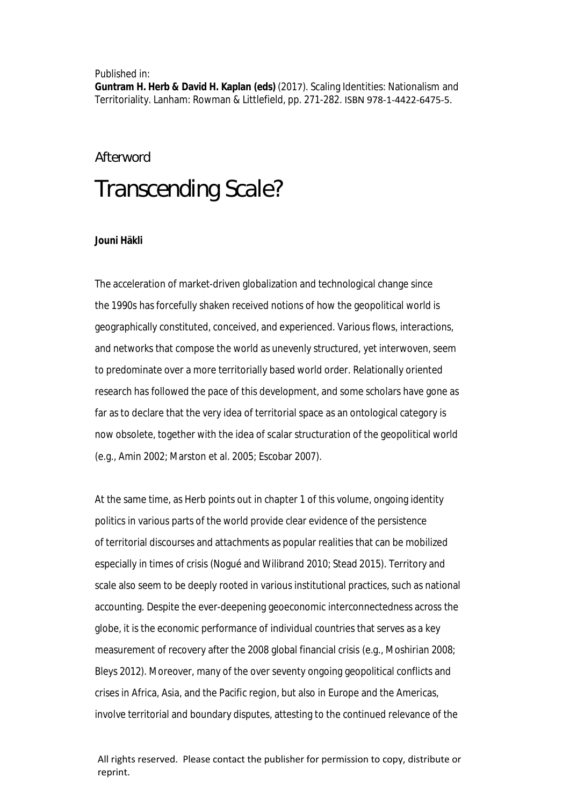Published in: **Guntram H. Herb & David H. Kaplan (eds)** (2017). Scaling Identities: Nationalism and Territoriality. Lanham: Rowman & Littlefield, pp. 271-282. ISBN 978-1-4422-6475-5.

# *Afterword*

# *Transcending Scale?*

#### **Jouni Häkli**

The acceleration of market-driven globalization and technological change since the 1990s has forcefully shaken received notions of how the geopolitical world is geographically constituted, conceived, and experienced. Various flows, interactions, and networks that compose the world as unevenly structured, yet interwoven, seem to predominate over a more territorially based world order. Relationally oriented research has followed the pace of this development, and some scholars have gone as far as to declare that the very idea of territorial space as an ontological category is now obsolete, together with the idea of scalar structuration of the geopolitical world (e.g., Amin 2002; Marston et al. 2005; Escobar 2007).

At the same time, as Herb points out in chapter 1 of this volume, ongoing identity politics in various parts of the world provide clear evidence of the persistence of territorial discourses and attachments as popular realities that can be mobilized especially in times of crisis (Nogué and Wilibrand 2010; Stead 2015). Territory and scale also seem to be deeply rooted in various institutional practices, such as national accounting. Despite the ever-deepening geoeconomic interconnectedness across the globe, it is the economic performance of individual countries that serves as a key measurement of recovery after the 2008 global financial crisis (e.g., Moshirian 2008; Bleys 2012). Moreover, many of the over seventy ongoing geopolitical conflicts and crises in Africa, Asia, and the Pacific region, but also in Europe and the Americas, involve territorial and boundary disputes, attesting to the continued relevance of the

All rights reserved. Please contact the publisher for permission to copy, distribute or reprint.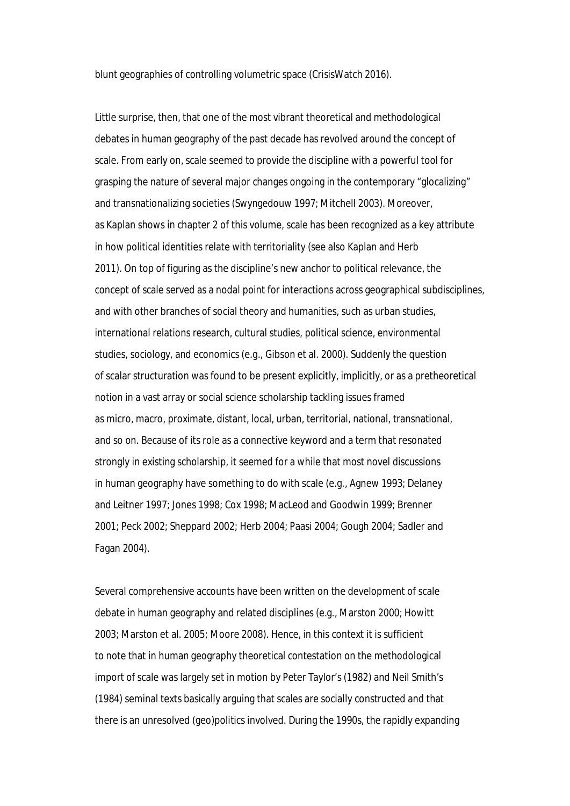blunt geographies of controlling volumetric space (CrisisWatch 2016).

Little surprise, then, that one of the most vibrant theoretical and methodological debates in human geography of the past decade has revolved around the concept of scale. From early on, scale seemed to provide the discipline with a powerful tool for grasping the nature of several major changes ongoing in the contemporary "glocalizing" and transnationalizing societies (Swyngedouw 1997; Mitchell 2003). Moreover, as Kaplan shows in chapter 2 of this volume, scale has been recognized as a key attribute in how political identities relate with territoriality (see also Kaplan and Herb 2011). On top of figuring as the discipline's new anchor to political relevance, the concept of scale served as a nodal point for interactions across geographical subdisciplines, and with other branches of social theory and humanities, such as urban studies, international relations research, cultural studies, political science, environmental studies, sociology, and economics (e.g., Gibson et al. 2000). Suddenly the question of scalar structuration was found to be present explicitly, implicitly, or as a pretheoretical notion in a vast array or social science scholarship tackling issues framed as micro, macro, proximate, distant, local, urban, territorial, national, transnational, and so on. Because of its role as a connective keyword and a term that resonated strongly in existing scholarship, it seemed for a while that most novel discussions in human geography have something to do with scale (e.g., Agnew 1993; Delaney and Leitner 1997; Jones 1998; Cox 1998; MacLeod and Goodwin 1999; Brenner 2001; Peck 2002; Sheppard 2002; Herb 2004; Paasi 2004; Gough 2004; Sadler and Fagan 2004).

Several comprehensive accounts have been written on the development of scale debate in human geography and related disciplines (e.g., Marston 2000; Howitt 2003; Marston et al. 2005; Moore 2008). Hence, in this context it is sufficient to note that in human geography theoretical contestation on the methodological import of scale was largely set in motion by Peter Taylor's (1982) and Neil Smith's (1984) seminal texts basically arguing that scales are socially constructed and that there is an unresolved (geo)politics involved. During the 1990s, the rapidly expanding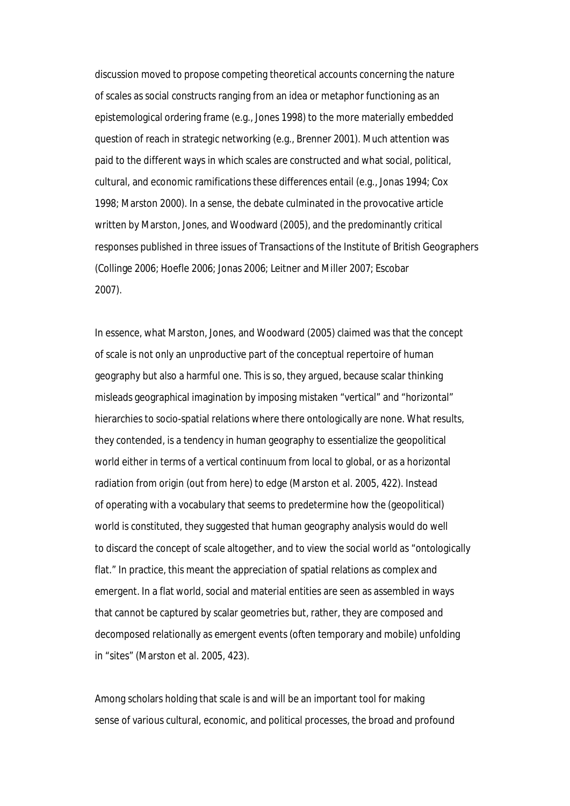discussion moved to propose competing theoretical accounts concerning the nature of scales as social constructs ranging from an idea or metaphor functioning as an epistemological ordering frame (e.g., Jones 1998) to the more materially embedded question of reach in strategic networking (e.g., Brenner 2001). Much attention was paid to the different ways in which scales are constructed and what social, political, cultural, and economic ramifications these differences entail (e.g., Jonas 1994; Cox 1998; Marston 2000). In a sense, the debate culminated in the provocative article written by Marston, Jones, and Woodward (2005), and the predominantly critical responses published in three issues of Transactions of the Institute of British Geographers (Collinge 2006; Hoefle 2006; Jonas 2006; Leitner and Miller 2007; Escobar 2007).

In essence, what Marston, Jones, and Woodward (2005) claimed was that the concept of scale is not only an unproductive part of the conceptual repertoire of human geography but also a harmful one. This is so, they argued, because scalar thinking misleads geographical imagination by imposing mistaken "vertical" and "horizontal" hierarchies to socio-spatial relations where there ontologically are none. What results, they contended, is a tendency in human geography to essentialize the geopolitical world either in terms of a vertical continuum from local to global, or as a horizontal radiation from origin (out from here) to edge (Marston et al. 2005, 422). Instead of operating with a vocabulary that seems to predetermine how the (geopolitical) world is constituted, they suggested that human geography analysis would do well to discard the concept of scale altogether, and to view the social world as "ontologically flat." In practice, this meant the appreciation of spatial relations as complex and emergent. In a flat world, social and material entities are seen as assembled in ways that cannot be captured by scalar geometries but, rather, they are composed and decomposed relationally as emergent events (often temporary and mobile) unfolding in "sites" (Marston et al. 2005, 423).

Among scholars holding that scale is and will be an important tool for making sense of various cultural, economic, and political processes, the broad and profound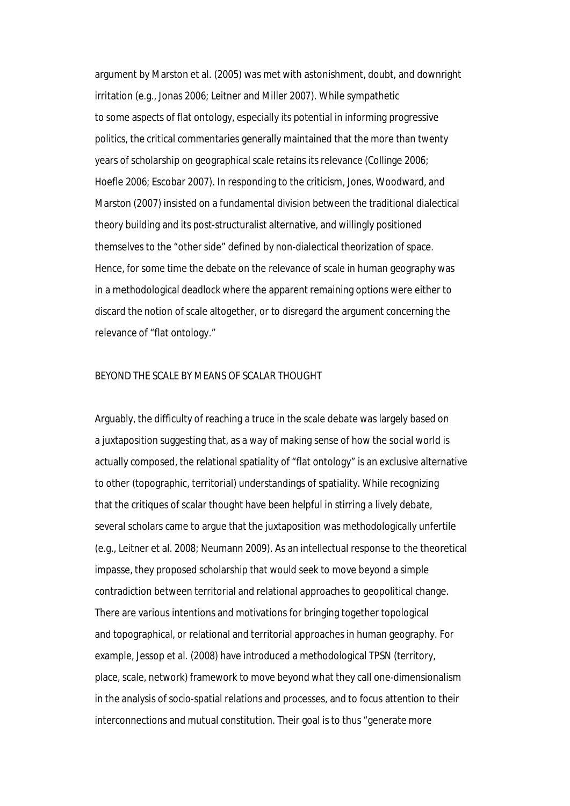argument by Marston et al. (2005) was met with astonishment, doubt, and downright irritation (e.g., Jonas 2006; Leitner and Miller 2007). While sympathetic to some aspects of flat ontology, especially its potential in informing progressive politics, the critical commentaries generally maintained that the more than twenty years of scholarship on geographical scale retains its relevance (Collinge 2006; Hoefle 2006; Escobar 2007). In responding to the criticism, Jones, Woodward, and Marston (2007) insisted on a fundamental division between the traditional dialectical theory building and its post-structuralist alternative, and willingly positioned themselves to the "other side" defined by non-dialectical theorization of space. Hence, for some time the debate on the relevance of scale in human geography was in a methodological deadlock where the apparent remaining options were either to discard the notion of scale altogether, or to disregard the argument concerning the relevance of "flat ontology."

#### BEYOND THE SCALE BY MEANS OF SCALAR THOUGHT

Arguably, the difficulty of reaching a truce in the scale debate was largely based on a juxtaposition suggesting that, as a way of making sense of how the social world is actually composed, the relational spatiality of "flat ontology" is an exclusive alternative to other (topographic, territorial) understandings of spatiality. While recognizing that the critiques of scalar thought have been helpful in stirring a lively debate, several scholars came to argue that the juxtaposition was methodologically unfertile (e.g., Leitner et al. 2008; Neumann 2009). As an intellectual response to the theoretical impasse, they proposed scholarship that would seek to move beyond a simple contradiction between territorial and relational approaches to geopolitical change. There are various intentions and motivations for bringing together topological and topographical, or relational and territorial approaches in human geography. For example, Jessop et al. (2008) have introduced a methodological TPSN (territory, place, scale, network) framework to move beyond what they call one-dimensionalism in the analysis of socio-spatial relations and processes, and to focus attention to their interconnections and mutual constitution. Their goal is to thus "generate more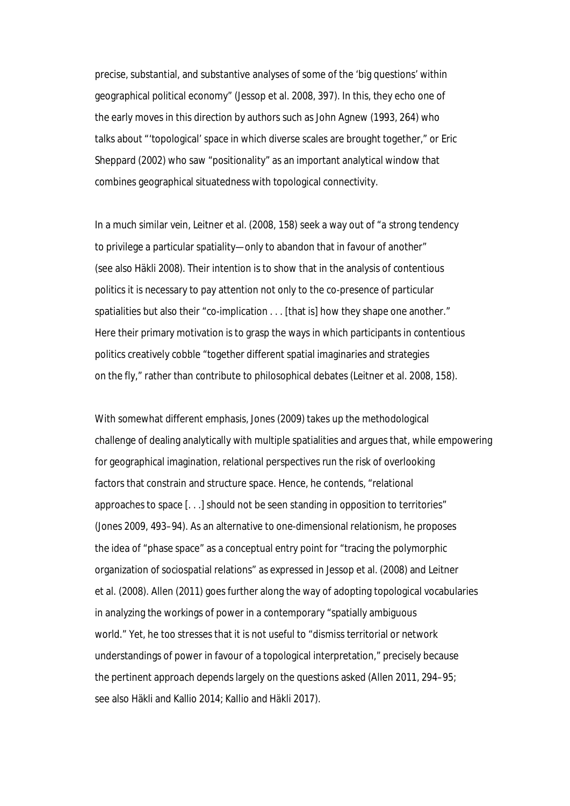precise, substantial, and substantive analyses of some of the 'big questions' within geographical political economy" (Jessop et al. 2008, 397). In this, they echo one of the early moves in this direction by authors such as John Agnew (1993, 264) who talks about "'topological' space in which diverse scales are brought together," or Eric Sheppard (2002) who saw "positionality" as an important analytical window that combines geographical situatedness with topological connectivity.

In a much similar vein, Leitner et al. (2008, 158) seek a way out of "a strong tendency to privilege a particular spatiality—only to abandon that in favour of another" (see also Häkli 2008). Their intention is to show that in the analysis of contentious politics it is necessary to pay attention not only to the co-presence of particular spatialities but also their "co-implication . . . [that is] how they shape one another." Here their primary motivation is to grasp the ways in which participants in contentious politics creatively cobble "together different spatial imaginaries and strategies on the fly," rather than contribute to philosophical debates (Leitner et al. 2008, 158).

With somewhat different emphasis, Jones (2009) takes up the methodological challenge of dealing analytically with multiple spatialities and argues that, while empowering for geographical imagination, relational perspectives run the risk of overlooking factors that constrain and structure space. Hence, he contends, "relational approaches to space [. . .] should not be seen standing in opposition to territories" (Jones 2009, 493–94). As an alternative to one-dimensional relationism, he proposes the idea of "phase space" as a conceptual entry point for "tracing the polymorphic organization of sociospatial relations" as expressed in Jessop et al. (2008) and Leitner et al. (2008). Allen (2011) goes further along the way of adopting topological vocabularies in analyzing the workings of power in a contemporary "spatially ambiguous world." Yet, he too stresses that it is not useful to "dismiss territorial or network understandings of power in favour of a topological interpretation," precisely because the pertinent approach depends largely on the questions asked (Allen 2011, 294–95; see also Häkli and Kallio 2014; Kallio and Häkli 2017).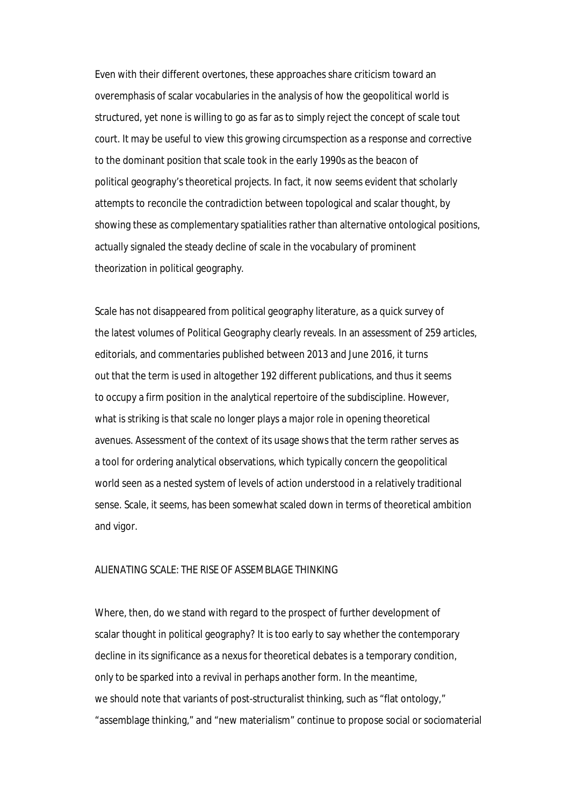Even with their different overtones, these approaches share criticism toward an overemphasis of scalar vocabularies in the analysis of how the geopolitical world is structured, yet none is willing to go as far as to simply reject the concept of scale tout court. It may be useful to view this growing circumspection as a response and corrective to the dominant position that scale took in the early 1990s as the beacon of political geography's theoretical projects. In fact, it now seems evident that scholarly attempts to reconcile the contradiction between topological and scalar thought, by showing these as complementary spatialities rather than alternative ontological positions, actually signaled the steady decline of scale in the vocabulary of prominent theorization in political geography.

Scale has not disappeared from political geography literature, as a quick survey of the latest volumes of Political Geography clearly reveals. In an assessment of 259 articles, editorials, and commentaries published between 2013 and June 2016, it turns out that the term is used in altogether 192 different publications, and thus it seems to occupy a firm position in the analytical repertoire of the subdiscipline. However, what is striking is that scale no longer plays a major role in opening theoretical avenues. Assessment of the context of its usage shows that the term rather serves as a tool for ordering analytical observations, which typically concern the geopolitical world seen as a nested system of levels of action understood in a relatively traditional sense. Scale, it seems, has been somewhat scaled down in terms of theoretical ambition and vigor.

## ALIENATING SCALE: THE RISE OF ASSEMBLAGE THINKING

Where, then, do we stand with regard to the prospect of further development of scalar thought in political geography? It is too early to say whether the contemporary decline in its significance as a nexus for theoretical debates is a temporary condition, only to be sparked into a revival in perhaps another form. In the meantime, we should note that variants of post-structuralist thinking, such as "flat ontology," "assemblage thinking," and "new materialism" continue to propose social or sociomaterial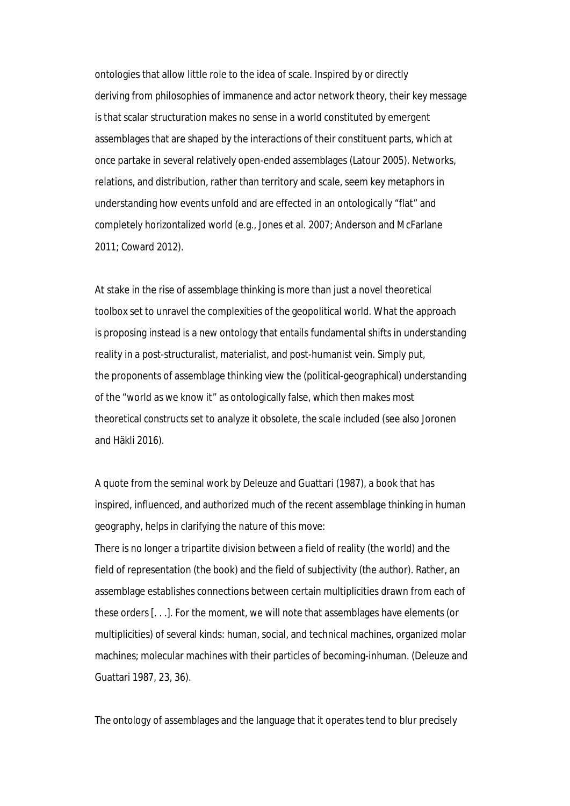ontologies that allow little role to the idea of scale. Inspired by or directly deriving from philosophies of immanence and actor network theory, their key message is that scalar structuration makes no sense in a world constituted by emergent assemblages that are shaped by the interactions of their constituent parts, which at once partake in several relatively open-ended assemblages (Latour 2005). Networks, relations, and distribution, rather than territory and scale, seem key metaphors in understanding how events unfold and are effected in an ontologically "flat" and completely horizontalized world (e.g., Jones et al. 2007; Anderson and McFarlane 2011; Coward 2012).

At stake in the rise of assemblage thinking is more than just a novel theoretical toolbox set to unravel the complexities of the geopolitical world. What the approach is proposing instead is a new ontology that entails fundamental shifts in understanding reality in a post-structuralist, materialist, and post-humanist vein. Simply put, the proponents of assemblage thinking view the (political-geographical) understanding of the "world as we know it" as ontologically false, which then makes most theoretical constructs set to analyze it obsolete, the scale included (see also Joronen and Häkli 2016).

A quote from the seminal work by Deleuze and Guattari (1987), a book that has inspired, influenced, and authorized much of the recent assemblage thinking in human geography, helps in clarifying the nature of this move:

There is no longer a tripartite division between a field of reality (the world) and the field of representation (the book) and the field of subjectivity (the author). Rather, an assemblage establishes connections between certain multiplicities drawn from each of these orders [. . .]. For the moment, we will note that assemblages have elements (or multiplicities) of several kinds: human, social, and technical machines, organized molar machines; molecular machines with their particles of becoming-inhuman. (Deleuze and Guattari 1987, 23, 36).

The ontology of assemblages and the language that it operates tend to blur precisely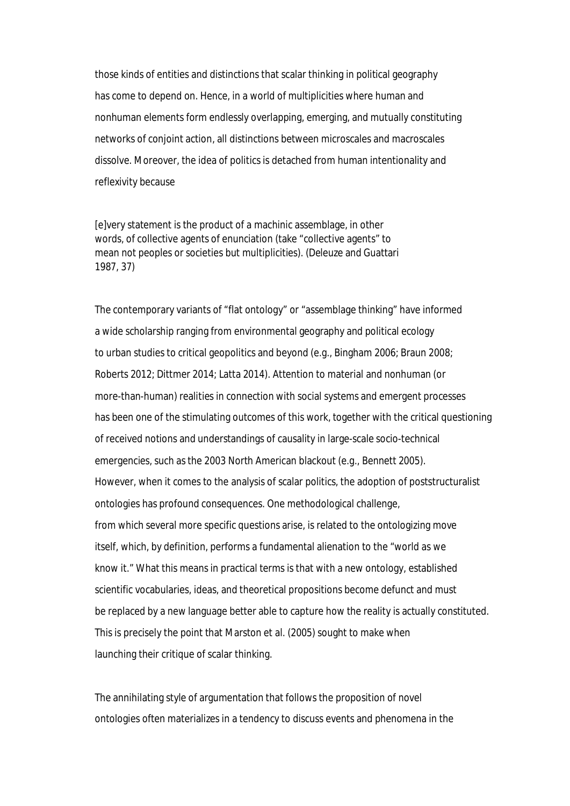those kinds of entities and distinctions that scalar thinking in political geography has come to depend on. Hence, in a world of multiplicities where human and nonhuman elements form endlessly overlapping, emerging, and mutually constituting networks of conjoint action, all distinctions between microscales and macroscales dissolve. Moreover, the idea of politics is detached from human intentionality and reflexivity because

[e]very statement is the product of a machinic assemblage, in other words, of collective agents of enunciation (take "collective agents" to mean not peoples or societies but multiplicities). (Deleuze and Guattari 1987, 37)

The contemporary variants of "flat ontology" or "assemblage thinking" have informed a wide scholarship ranging from environmental geography and political ecology to urban studies to critical geopolitics and beyond (e.g., Bingham 2006; Braun 2008; Roberts 2012; Dittmer 2014; Latta 2014). Attention to material and nonhuman (or more-than-human) realities in connection with social systems and emergent processes has been one of the stimulating outcomes of this work, together with the critical questioning of received notions and understandings of causality in large-scale socio-technical emergencies, such as the 2003 North American blackout (e.g., Bennett 2005). However, when it comes to the analysis of scalar politics, the adoption of poststructuralist ontologies has profound consequences. One methodological challenge, from which several more specific questions arise, is related to the ontologizing move itself, which, by definition, performs a fundamental alienation to the "world as we know it." What this means in practical terms is that with a new ontology, established scientific vocabularies, ideas, and theoretical propositions become defunct and must be replaced by a new language better able to capture how the reality is actually constituted. This is precisely the point that Marston et al. (2005) sought to make when launching their critique of scalar thinking.

The annihilating style of argumentation that follows the proposition of novel ontologies often materializes in a tendency to discuss events and phenomena in the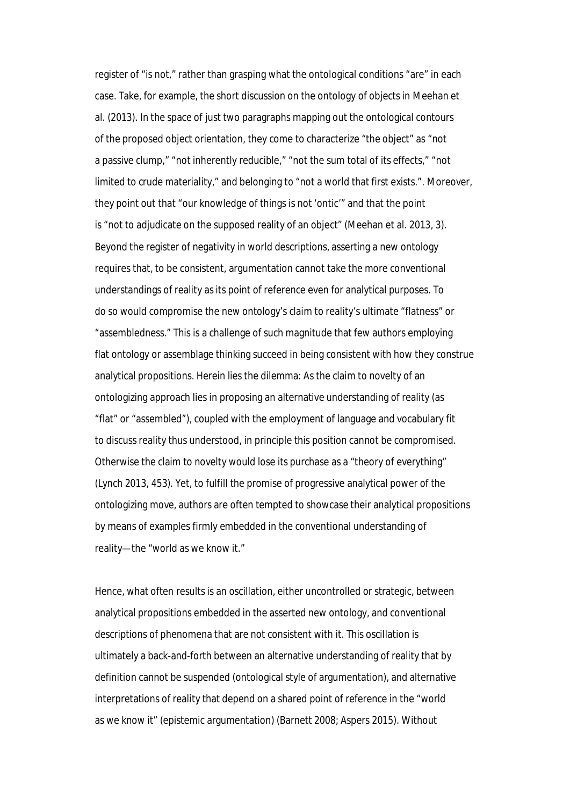register of "is not," rather than grasping what the ontological conditions "are" in each case. Take, for example, the short discussion on the ontology of objects in Meehan et al. (2013). In the space of just two paragraphs mapping out the ontological contours of the proposed object orientation, they come to characterize "the object" as "not a passive clump," "not inherently reducible," "not the sum total of its effects," "not limited to crude materiality," and belonging to "not a world that first exists.". Moreover, they point out that "our knowledge of things is not 'ontic'" and that the point is "not to adjudicate on the supposed reality of an object" (Meehan et al. 2013, 3). Beyond the register of negativity in world descriptions, asserting a new ontology requires that, to be consistent, argumentation cannot take the more conventional understandings of reality as its point of reference even for analytical purposes. To do so would compromise the new ontology's claim to reality's ultimate "flatness" or "assembledness." This is a challenge of such magnitude that few authors employing flat ontology or assemblage thinking succeed in being consistent with how they construe analytical propositions. Herein lies the dilemma: As the claim to novelty of an ontologizing approach lies in proposing an alternative understanding of reality (as "flat" or "assembled"), coupled with the employment of language and vocabulary fit to discuss reality thus understood, in principle this position cannot be compromised. Otherwise the claim to novelty would lose its purchase as a "theory of everything" (Lynch 2013, 453). Yet, to fulfill the promise of progressive analytical power of the ontologizing move, authors are often tempted to showcase their analytical propositions by means of examples firmly embedded in the conventional understanding of reality—the "world as we know it."

Hence, what often results is an oscillation, either uncontrolled or strategic, between analytical propositions embedded in the asserted new ontology, and conventional descriptions of phenomena that are not consistent with it. This oscillation is ultimately a back-and-forth between an alternative understanding of reality that by definition cannot be suspended (ontological style of argumentation), and alternative interpretations of reality that depend on a shared point of reference in the "world as we know it" (epistemic argumentation) (Barnett 2008; Aspers 2015). Without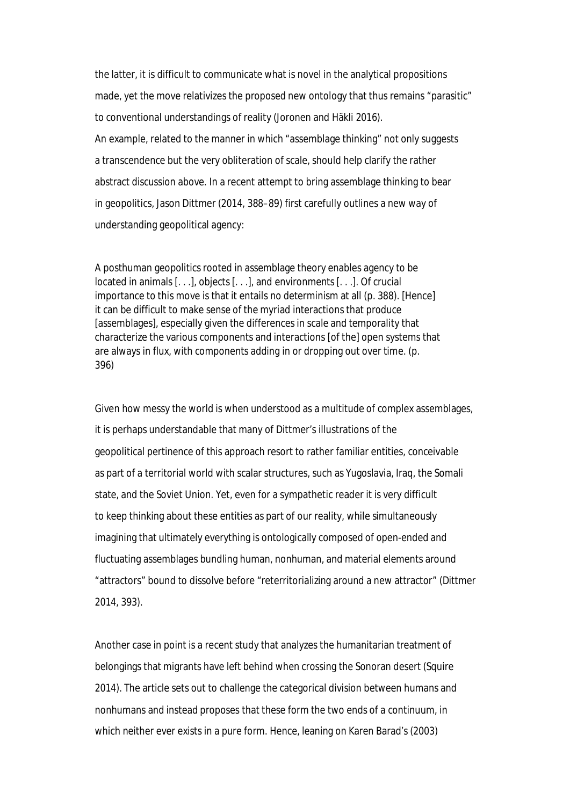the latter, it is difficult to communicate what is novel in the analytical propositions made, yet the move relativizes the proposed new ontology that thus remains "parasitic" to conventional understandings of reality (Joronen and Häkli 2016). An example, related to the manner in which "assemblage thinking" not only suggests a transcendence but the very obliteration of scale, should help clarify the rather abstract discussion above. In a recent attempt to bring assemblage thinking to bear in geopolitics, Jason Dittmer (2014, 388–89) first carefully outlines a new way of understanding geopolitical agency:

A posthuman geopolitics rooted in assemblage theory enables agency to be located in animals [. . .], objects [. . .], and environments [. . .]. Of crucial importance to this move is that it entails no determinism at all (p. 388). [Hence] it can be difficult to make sense of the myriad interactions that produce [assemblages], especially given the differences in scale and temporality that characterize the various components and interactions [of the] open systems that are always in flux, with components adding in or dropping out over time. (p. 396)

Given how messy the world is when understood as a multitude of complex assemblages, it is perhaps understandable that many of Dittmer's illustrations of the geopolitical pertinence of this approach resort to rather familiar entities, conceivable as part of a territorial world with scalar structures, such as Yugoslavia, Iraq, the Somali state, and the Soviet Union. Yet, even for a sympathetic reader it is very difficult to keep thinking about these entities as part of our reality, while simultaneously imagining that ultimately everything is ontologically composed of open-ended and fluctuating assemblages bundling human, nonhuman, and material elements around "attractors" bound to dissolve before "reterritorializing around a new attractor" (Dittmer 2014, 393).

Another case in point is a recent study that analyzes the humanitarian treatment of belongings that migrants have left behind when crossing the Sonoran desert (Squire 2014). The article sets out to challenge the categorical division between humans and nonhumans and instead proposes that these form the two ends of a continuum, in which neither ever exists in a pure form. Hence, leaning on Karen Barad's (2003)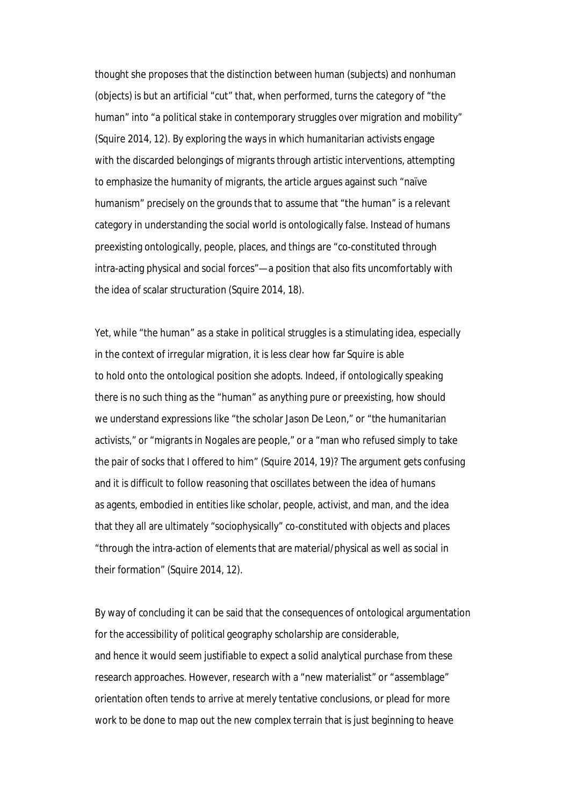thought she proposes that the distinction between human (subjects) and nonhuman (objects) is but an artificial "cut" that, when performed, turns the category of "the human" into "a political stake in contemporary struggles over migration and mobility" (Squire 2014, 12). By exploring the ways in which humanitarian activists engage with the discarded belongings of migrants through artistic interventions, attempting to emphasize the humanity of migrants, the article argues against such "naïve humanism" precisely on the grounds that to assume that "the human" is a relevant category in understanding the social world is ontologically false. Instead of humans preexisting ontologically, people, places, and things are "co-constituted through intra-acting physical and social forces"—a position that also fits uncomfortably with the idea of scalar structuration (Squire 2014, 18).

Yet, while "the human" as a stake in political struggles is a stimulating idea, especially in the context of irregular migration, it is less clear how far Squire is able to hold onto the ontological position she adopts. Indeed, if ontologically speaking there is no such thing as the "human" as anything pure or preexisting, how should we understand expressions like "the scholar Jason De Leon," or "the humanitarian activists," or "migrants in Nogales are people," or a "man who refused simply to take the pair of socks that I offered to him" (Squire 2014, 19)? The argument gets confusing and it is difficult to follow reasoning that oscillates between the idea of humans as agents, embodied in entities like scholar, people, activist, and man, and the idea that they all are ultimately "sociophysically" co-constituted with objects and places "through the intra-action of elements that are material/physical as well as social in their formation" (Squire 2014, 12).

By way of concluding it can be said that the consequences of ontological argumentation for the accessibility of political geography scholarship are considerable, and hence it would seem justifiable to expect a solid analytical purchase from these research approaches. However, research with a "new materialist" or "assemblage" orientation often tends to arrive at merely tentative conclusions, or plead for more work to be done to map out the new complex terrain that is just beginning to heave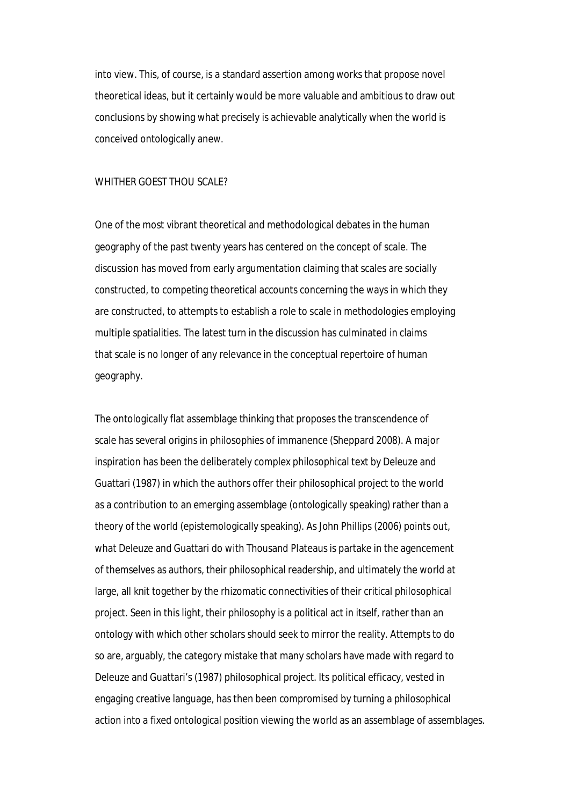into view. This, of course, is a standard assertion among works that propose novel theoretical ideas, but it certainly would be more valuable and ambitious to draw out conclusions by showing what precisely is achievable analytically when the world is conceived ontologically anew.

#### WHITHER GOEST THOU SCALE?

One of the most vibrant theoretical and methodological debates in the human geography of the past twenty years has centered on the concept of scale. The discussion has moved from early argumentation claiming that scales are socially constructed, to competing theoretical accounts concerning the ways in which they are constructed, to attempts to establish a role to scale in methodologies employing multiple spatialities. The latest turn in the discussion has culminated in claims that scale is no longer of any relevance in the conceptual repertoire of human geography.

The ontologically flat assemblage thinking that proposes the transcendence of scale has several origins in philosophies of immanence (Sheppard 2008). A major inspiration has been the deliberately complex philosophical text by Deleuze and Guattari (1987) in which the authors offer their philosophical project to the world as a contribution to an emerging assemblage (ontologically speaking) rather than a theory of the world (epistemologically speaking). As John Phillips (2006) points out, what Deleuze and Guattari do with Thousand Plateaus is partake in the agencement of themselves as authors, their philosophical readership, and ultimately the world at large, all knit together by the rhizomatic connectivities of their critical philosophical project. Seen in this light, their philosophy is a political act in itself, rather than an ontology with which other scholars should seek to mirror the reality. Attempts to do so are, arguably, the category mistake that many scholars have made with regard to Deleuze and Guattari's (1987) philosophical project. Its political efficacy, vested in engaging creative language, has then been compromised by turning a philosophical action into a fixed ontological position viewing the world as an assemblage of assemblages.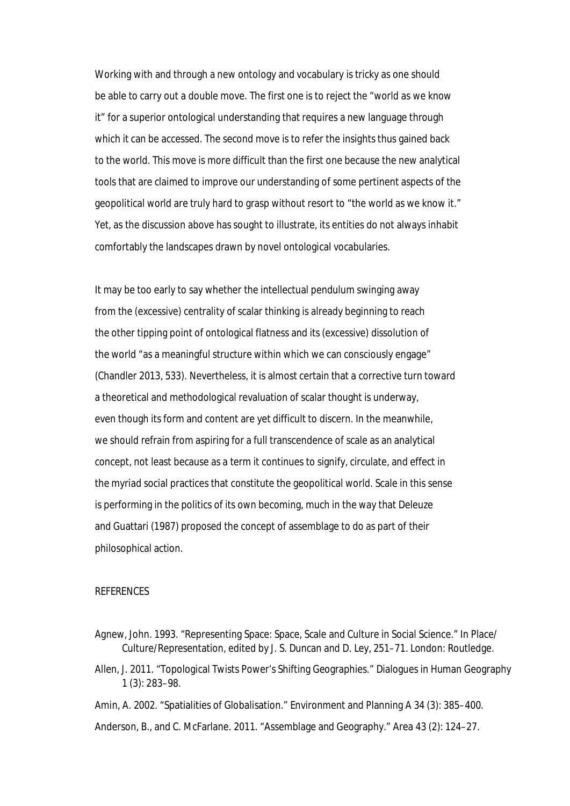Working with and through a new ontology and vocabulary is tricky as one should be able to carry out a double move. The first one is to reject the "world as we know it" for a superior ontological understanding that requires a new language through which it can be accessed. The second move is to refer the insights thus gained back to the world. This move is more difficult than the first one because the new analytical tools that are claimed to improve our understanding of some pertinent aspects of the geopolitical world are truly hard to grasp without resort to "the world as we know it." Yet, as the discussion above has sought to illustrate, its entities do not always inhabit comfortably the landscapes drawn by novel ontological vocabularies.

It may be too early to say whether the intellectual pendulum swinging away from the (excessive) centrality of scalar thinking is already beginning to reach the other tipping point of ontological flatness and its (excessive) dissolution of the world "as a meaningful structure within which we can consciously engage" (Chandler 2013, 533). Nevertheless, it is almost certain that a corrective turn toward a theoretical and methodological revaluation of scalar thought is underway, even though its form and content are yet difficult to discern. In the meanwhile, we should refrain from aspiring for a full transcendence of scale as an analytical concept, not least because as a term it continues to signify, circulate, and effect in the myriad social practices that constitute the geopolitical world. Scale in this sense is performing in the politics of its own becoming, much in the way that Deleuze and Guattari (1987) proposed the concept of assemblage to do as part of their philosophical action.

## **REFERENCES**

- Agnew, John. 1993. "Representing Space: Space, Scale and Culture in Social Science." In Place/ Culture/Representation, edited by J. S. Duncan and D. Ley, 251–71. London: Routledge.
- Allen, J. 2011. "Topological Twists Power's Shifting Geographies." Dialogues in Human Geography 1 (3): 283–98.

Amin, A. 2002. "Spatialities of Globalisation." Environment and Planning A 34 (3): 385–400.

Anderson, B., and C. McFarlane. 2011. "Assemblage and Geography." Area 43 (2): 124–27.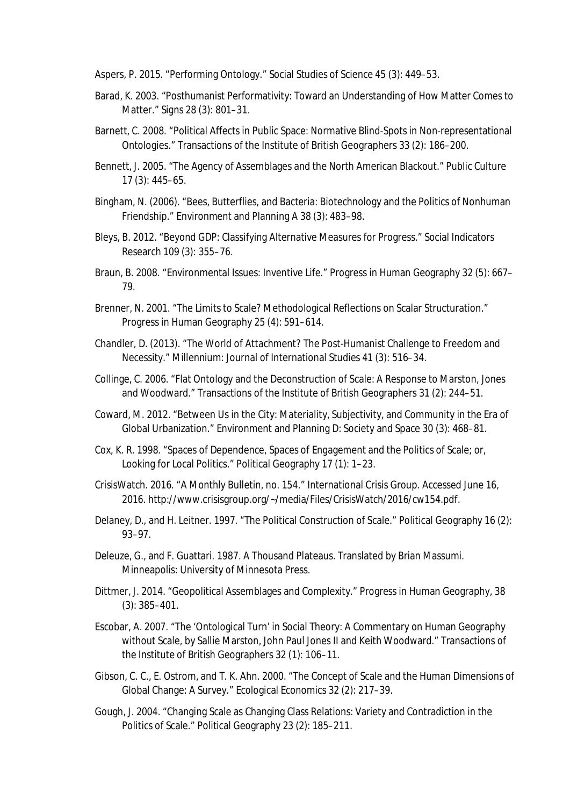Aspers, P. 2015. "Performing Ontology." Social Studies of Science 45 (3): 449–53.

- Barad, K. 2003. "Posthumanist Performativity: Toward an Understanding of How Matter Comes to Matter." Signs 28 (3): 801–31.
- Barnett, C. 2008. "Political Affects in Public Space: Normative Blind-Spots in Non-representational Ontologies." Transactions of the Institute of British Geographers 33 (2): 186–200.
- Bennett, J. 2005. "The Agency of Assemblages and the North American Blackout." Public Culture 17 (3): 445–65.
- Bingham, N. (2006). "Bees, Butterflies, and Bacteria: Biotechnology and the Politics of Nonhuman Friendship." Environment and Planning A 38 (3): 483–98.
- Bleys, B. 2012. "Beyond GDP: Classifying Alternative Measures for Progress." Social Indicators Research 109 (3): 355–76.
- Braun, B. 2008. "Environmental Issues: Inventive Life." Progress in Human Geography 32 (5): 667– 79.
- Brenner, N. 2001. "The Limits to Scale? Methodological Reflections on Scalar Structuration." Progress in Human Geography 25 (4): 591–614.
- Chandler, D. (2013). "The World of Attachment? The Post-Humanist Challenge to Freedom and Necessity." Millennium: Journal of International Studies 41 (3): 516–34.
- Collinge, C. 2006. "Flat Ontology and the Deconstruction of Scale: A Response to Marston, Jones and Woodward." Transactions of the Institute of British Geographers 31 (2): 244–51.
- Coward, M. 2012. "Between Us in the City: Materiality, Subjectivity, and Community in the Era of Global Urbanization." Environment and Planning D: Society and Space 30 (3): 468–81.
- Cox, K. R. 1998. "Spaces of Dependence, Spaces of Engagement and the Politics of Scale; or, Looking for Local Politics." Political Geography 17 (1): 1–23.
- CrisisWatch. 2016. "A Monthly Bulletin, no. 154." International Crisis Group. Accessed June 16, 2016. http://www.crisisgroup.org/~/media/Files/CrisisWatch/2016/cw154.pdf.
- Delaney, D., and H. Leitner. 1997. "The Political Construction of Scale." Political Geography 16 (2): 93–97.
- Deleuze, G., and F. Guattari. 1987. A Thousand Plateaus. Translated by Brian Massumi. Minneapolis: University of Minnesota Press.
- Dittmer, J. 2014. "Geopolitical Assemblages and Complexity." Progress in Human Geography, 38 (3): 385–401.
- Escobar, A. 2007. "The 'Ontological Turn' in Social Theory: A Commentary on Human Geography without Scale, by Sallie Marston, John Paul Jones II and Keith Woodward." Transactions of the Institute of British Geographers 32 (1): 106–11.
- Gibson, C. C., E. Ostrom, and T. K. Ahn. 2000. "The Concept of Scale and the Human Dimensions of Global Change: A Survey." Ecological Economics 32 (2): 217–39.
- Gough, J. 2004. "Changing Scale as Changing Class Relations: Variety and Contradiction in the Politics of Scale." Political Geography 23 (2): 185–211.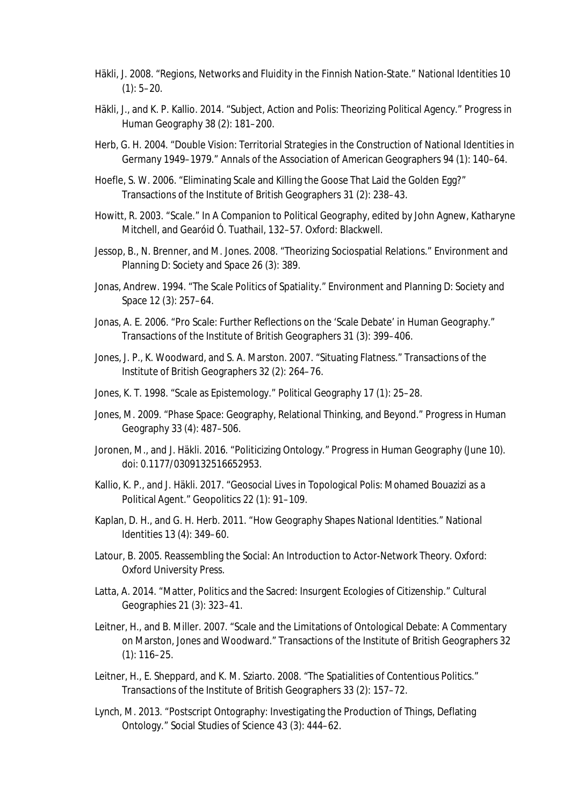- Häkli, J. 2008. "Regions, Networks and Fluidity in the Finnish Nation-State." National Identities 10 (1): 5–20.
- Häkli, J., and K. P. Kallio. 2014. "Subject, Action and Polis: Theorizing Political Agency." Progress in Human Geography 38 (2): 181–200.
- Herb, G. H. 2004. "Double Vision: Territorial Strategies in the Construction of National Identities in Germany 1949–1979." Annals of the Association of American Geographers 94 (1): 140–64.
- Hoefle, S. W. 2006. "Eliminating Scale and Killing the Goose That Laid the Golden Egg?" Transactions of the Institute of British Geographers 31 (2): 238–43.
- Howitt, R. 2003. "Scale." In A Companion to Political Geography, edited by John Agnew, Katharyne Mitchell, and Gearóid Ó. Tuathail, 132–57. Oxford: Blackwell.
- Jessop, B., N. Brenner, and M. Jones. 2008. "Theorizing Sociospatial Relations." Environment and Planning D: Society and Space 26 (3): 389.
- Jonas, Andrew. 1994. "The Scale Politics of Spatiality." Environment and Planning D: Society and Space 12 (3): 257–64.
- Jonas, A. E. 2006. "Pro Scale: Further Reflections on the 'Scale Debate' in Human Geography." Transactions of the Institute of British Geographers 31 (3): 399–406.
- Jones, J. P., K. Woodward, and S. A. Marston. 2007. "Situating Flatness." Transactions of the Institute of British Geographers 32 (2): 264–76.
- Jones, K. T. 1998. "Scale as Epistemology." Political Geography 17 (1): 25–28.
- Jones, M. 2009. "Phase Space: Geography, Relational Thinking, and Beyond." Progress in Human Geography 33 (4): 487–506.
- Joronen, M., and J. Häkli. 2016. "Politicizing Ontology." Progress in Human Geography (June 10). doi: 0.1177/0309132516652953.
- Kallio, K. P., and J. Häkli. 2017. "Geosocial Lives in Topological Polis: Mohamed Bouazizi as a Political Agent." Geopolitics 22 (1): 91–109.
- Kaplan, D. H., and G. H. Herb. 2011. "How Geography Shapes National Identities." National Identities 13 (4): 349–60.
- Latour, B. 2005. Reassembling the Social: An Introduction to Actor-Network Theory. Oxford: Oxford University Press.
- Latta, A. 2014. "Matter, Politics and the Sacred: Insurgent Ecologies of Citizenship." Cultural Geographies 21 (3): 323–41.
- Leitner, H., and B. Miller. 2007. "Scale and the Limitations of Ontological Debate: A Commentary on Marston, Jones and Woodward." Transactions of the Institute of British Geographers 32 (1): 116–25.
- Leitner, H., E. Sheppard, and K. M. Sziarto. 2008. "The Spatialities of Contentious Politics." Transactions of the Institute of British Geographers 33 (2): 157–72.
- Lynch, M. 2013. "Postscript Ontography: Investigating the Production of Things, Deflating Ontology." Social Studies of Science 43 (3): 444–62.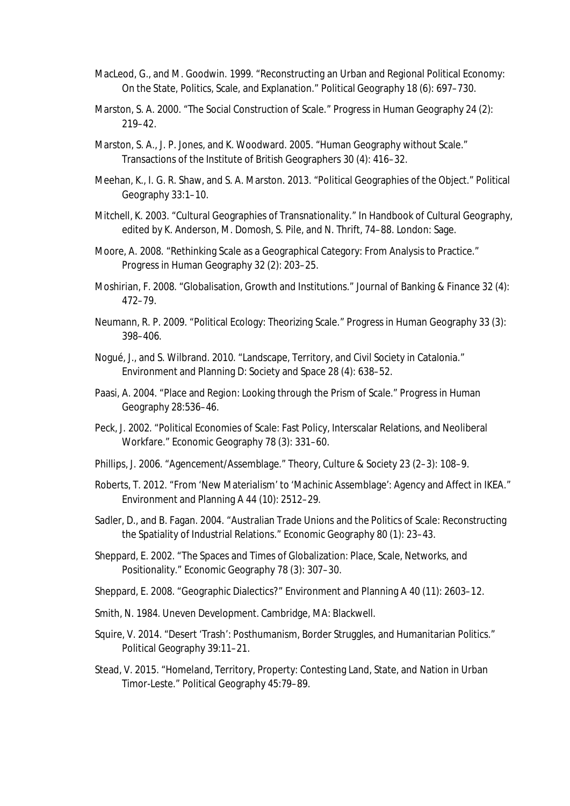- MacLeod, G., and M. Goodwin. 1999. "Reconstructing an Urban and Regional Political Economy: On the State, Politics, Scale, and Explanation." Political Geography 18 (6): 697–730.
- Marston, S. A. 2000. "The Social Construction of Scale." Progress in Human Geography 24 (2): 219–42.
- Marston, S. A., J. P. Jones, and K. Woodward. 2005. "Human Geography without Scale." Transactions of the Institute of British Geographers 30 (4): 416–32.
- Meehan, K., I. G. R. Shaw, and S. A. Marston. 2013. "Political Geographies of the Object." Political Geography 33:1–10.
- Mitchell, K. 2003. "Cultural Geographies of Transnationality." In Handbook of Cultural Geography, edited by K. Anderson, M. Domosh, S. Pile, and N. Thrift, 74–88. London: Sage.
- Moore, A. 2008. "Rethinking Scale as a Geographical Category: From Analysis to Practice." Progress in Human Geography 32 (2): 203–25.
- Moshirian, F. 2008. "Globalisation, Growth and Institutions." Journal of Banking & Finance 32 (4): 472–79.
- Neumann, R. P. 2009. "Political Ecology: Theorizing Scale." Progress in Human Geography 33 (3): 398–406.
- Nogué, J., and S. Wilbrand. 2010. "Landscape, Territory, and Civil Society in Catalonia." Environment and Planning D: Society and Space 28 (4): 638–52.
- Paasi, A. 2004. "Place and Region: Looking through the Prism of Scale." Progress in Human Geography 28:536–46.
- Peck, J. 2002. "Political Economies of Scale: Fast Policy, Interscalar Relations, and Neoliberal Workfare." Economic Geography 78 (3): 331–60.
- Phillips, J. 2006. "Agencement/Assemblage." Theory, Culture & Society 23 (2–3): 108–9.
- Roberts, T. 2012. "From 'New Materialism' to 'Machinic Assemblage': Agency and Affect in IKEA." Environment and Planning A 44 (10): 2512–29.
- Sadler, D., and B. Fagan. 2004. "Australian Trade Unions and the Politics of Scale: Reconstructing the Spatiality of Industrial Relations." Economic Geography 80 (1): 23–43.
- Sheppard, E. 2002. "The Spaces and Times of Globalization: Place, Scale, Networks, and Positionality." Economic Geography 78 (3): 307–30.
- Sheppard, E. 2008. "Geographic Dialectics?" Environment and Planning A 40 (11): 2603–12.
- Smith, N. 1984. Uneven Development. Cambridge, MA: Blackwell.
- Squire, V. 2014. "Desert 'Trash': Posthumanism, Border Struggles, and Humanitarian Politics." Political Geography 39:11–21.
- Stead, V. 2015. "Homeland, Territory, Property: Contesting Land, State, and Nation in Urban Timor-Leste." Political Geography 45:79–89.